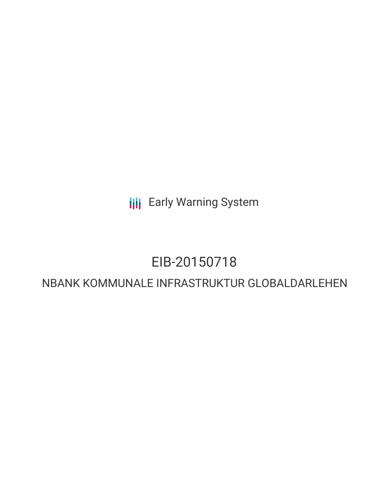**III** Early Warning System

# EIB-20150718

# NBANK KOMMUNALE INFRASTRUKTUR GLOBALDARLEHEN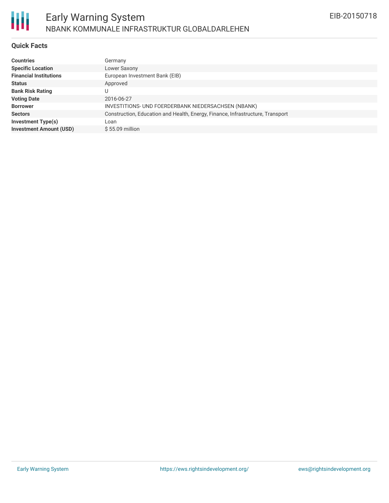

## **Quick Facts**

| <b>Countries</b>               | Germany                                                                        |
|--------------------------------|--------------------------------------------------------------------------------|
| <b>Specific Location</b>       | Lower Saxony                                                                   |
| <b>Financial Institutions</b>  | European Investment Bank (EIB)                                                 |
| <b>Status</b>                  | Approved                                                                       |
| <b>Bank Risk Rating</b>        |                                                                                |
| <b>Voting Date</b>             | 2016-06-27                                                                     |
| <b>Borrower</b>                | INVESTITIONS- UND FOERDERBANK NIEDERSACHSEN (NBANK)                            |
| <b>Sectors</b>                 | Construction, Education and Health, Energy, Finance, Infrastructure, Transport |
| <b>Investment Type(s)</b>      | Loan                                                                           |
| <b>Investment Amount (USD)</b> | $$55.09$ million                                                               |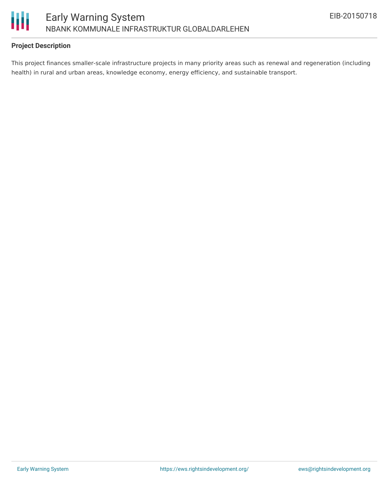

# **Project Description**

This project finances smaller-scale infrastructure projects in many priority areas such as renewal and regeneration (including health) in rural and urban areas, knowledge economy, energy efficiency, and sustainable transport.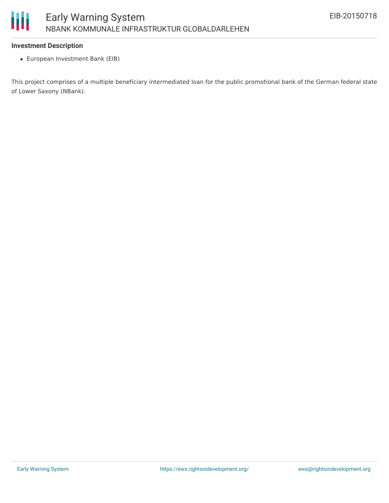## **Investment Description**

European Investment Bank (EIB)

This project comprises of a multiple beneficiary intermediated loan for the public promotional bank of the German federal state of Lower Saxony (NBank).